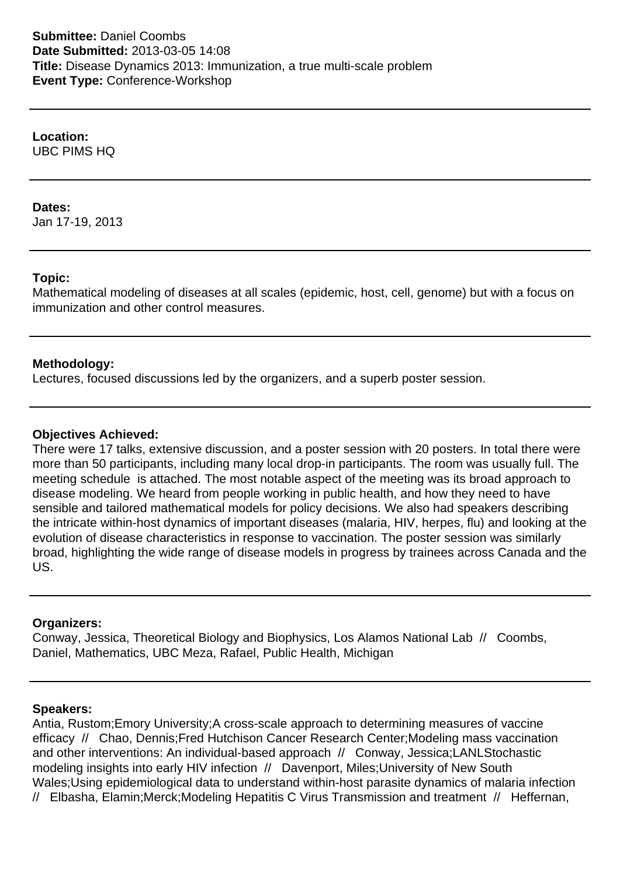**Location:** UBC PIMS HQ

### **Dates:**

Jan 17-19, 2013

# **Topic:**

Mathematical modeling of diseases at all scales (epidemic, host, cell, genome) but with a focus on immunization and other control measures.

# **Methodology:**

Lectures, focused discussions led by the organizers, and a superb poster session.

### **Objectives Achieved:**

There were 17 talks, extensive discussion, and a poster session with 20 posters. In total there were more than 50 participants, including many local drop-in participants. The room was usually full. The meeting schedule is attached. The most notable aspect of the meeting was its broad approach to disease modeling. We heard from people working in public health, and how they need to have sensible and tailored mathematical models for policy decisions. We also had speakers describing the intricate within-host dynamics of important diseases (malaria, HIV, herpes, flu) and looking at the evolution of disease characteristics in response to vaccination. The poster session was similarly broad, highlighting the wide range of disease models in progress by trainees across Canada and the US.

# **Organizers:**

Conway, Jessica, Theoretical Biology and Biophysics, Los Alamos National Lab // Coombs, Daniel, Mathematics, UBC Meza, Rafael, Public Health, Michigan

# **Speakers:**

Antia, Rustom; Emory University; A cross-scale approach to determining measures of vaccine efficacy // Chao, Dennis; Fred Hutchison Cancer Research Center; Modeling mass vaccination and other interventions: An individual-based approach // Conway, Jessica; LANL Stochastic modeling insights into early HIV infection // Davenport, Miles: University of New South Wales; Using epidemiological data to understand within-host parasite dynamics of malaria infection // Elbasha, Elamin; Merck; Modeling Hepatitis C Virus Transmission and treatment // Heffernan,